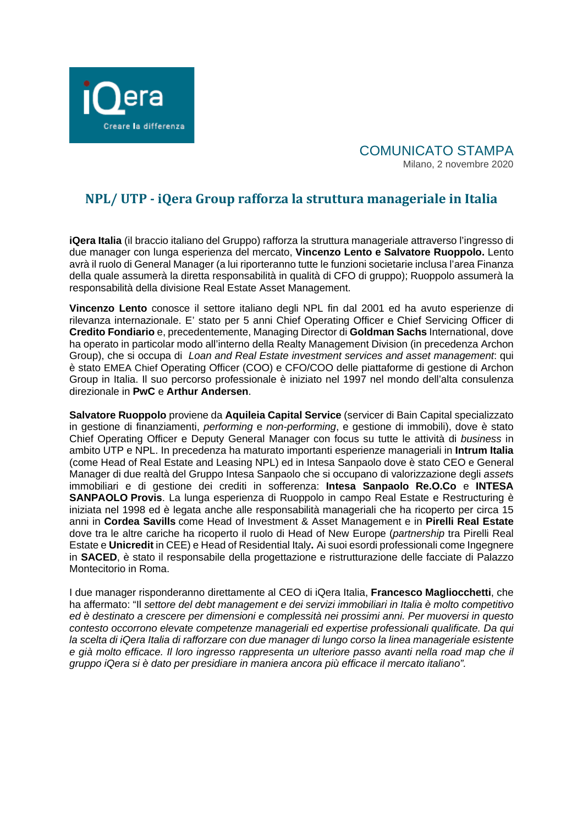

## COMUNICATO STAMPA Milano, 2 novembre 2020

# **NPL/ UTP - iQera Group rafforza la struttura manageriale in Italia**

**iQera Italia** (il braccio italiano del Gruppo) rafforza la struttura manageriale attraverso l'ingresso di due manager con lunga esperienza del mercato, **Vincenzo Lento e Salvatore Ruoppolo.** Lento avrà il ruolo di General Manager (a lui riporteranno tutte le funzioni societarie inclusa l'area Finanza della quale assumerà la diretta responsabilità in qualità di CFO di gruppo); Ruoppolo assumerà la responsabilità della divisione Real Estate Asset Management.

**Vincenzo Lento** conosce il settore italiano degli NPL fin dal 2001 ed ha avuto esperienze di rilevanza internazionale. E' stato per 5 anni Chief Operating Officer e Chief Servicing Officer di **Credito Fondiario** e, precedentemente, Managing Director di **Goldman Sachs** International, dove ha operato in particolar modo all'interno della Realty Management Division (in precedenza Archon Group), che si occupa di *Loan and Real Estate investment services and asset management*: qui è stato EMEA Chief Operating Officer (COO) e CFO/COO delle piattaforme di gestione di Archon Group in Italia. Il suo percorso professionale è iniziato nel 1997 nel mondo dell'alta consulenza direzionale in **PwC** e **Arthur Andersen**.

**Salvatore Ruoppolo** proviene da **Aquileia Capital Service** (servicer di Bain Capital specializzato in gestione di finanziamenti, *performing* e *non-performing*, e gestione di immobili), dove è stato Chief Operating Officer e Deputy General Manager con focus su tutte le attività di *business* in ambito UTP e NPL. In precedenza ha maturato importanti esperienze manageriali in **Intrum Italia** (come Head of Real Estate and Leasing NPL) ed in Intesa Sanpaolo dove è stato CEO e General Manager di due realtà del Gruppo Intesa Sanpaolo che si occupano di valorizzazione degli *asset*s immobiliari e di gestione dei crediti in sofferenza: **Intesa Sanpaolo Re.O.Co** e **INTESA SANPAOLO Provis**. La lunga esperienza di Ruoppolo in campo Real Estate e Restructuring è iniziata nel 1998 ed è legata anche alle responsabilità manageriali che ha ricoperto per circa 15 anni in **Cordea Savills** come Head of Investment & Asset Management e in **Pirelli Real Estate** dove tra le altre cariche ha ricoperto il ruolo di Head of New Europe (*partnership* tra Pirelli Real Estate e **Unicredit** in CEE) e Head of Residential Italy**.** Ai suoi esordi professionali come Ingegnere in **SACED**, è stato il responsabile della progettazione e ristrutturazione delle facciate di Palazzo Montecitorio in Roma.

I due manager risponderanno direttamente al CEO di iQera Italia, **Francesco Magliocchetti**, che ha affermato: "Il *settore del debt management e dei servizi immobiliari in Italia è molto competitivo ed è destinato a crescere per dimensioni e complessità nei prossimi anni. Per muoversi in questo contesto occorrono elevate competenze manageriali ed expertise professionali qualificate. Da qui la scelta di iQera Italia di rafforzare con due manager di lungo corso la linea manageriale esistente e già molto efficace. Il loro ingresso rappresenta un ulteriore passo avanti nella road map che il gruppo iQera si è dato per presidiare in maniera ancora più efficace il mercato italiano".*